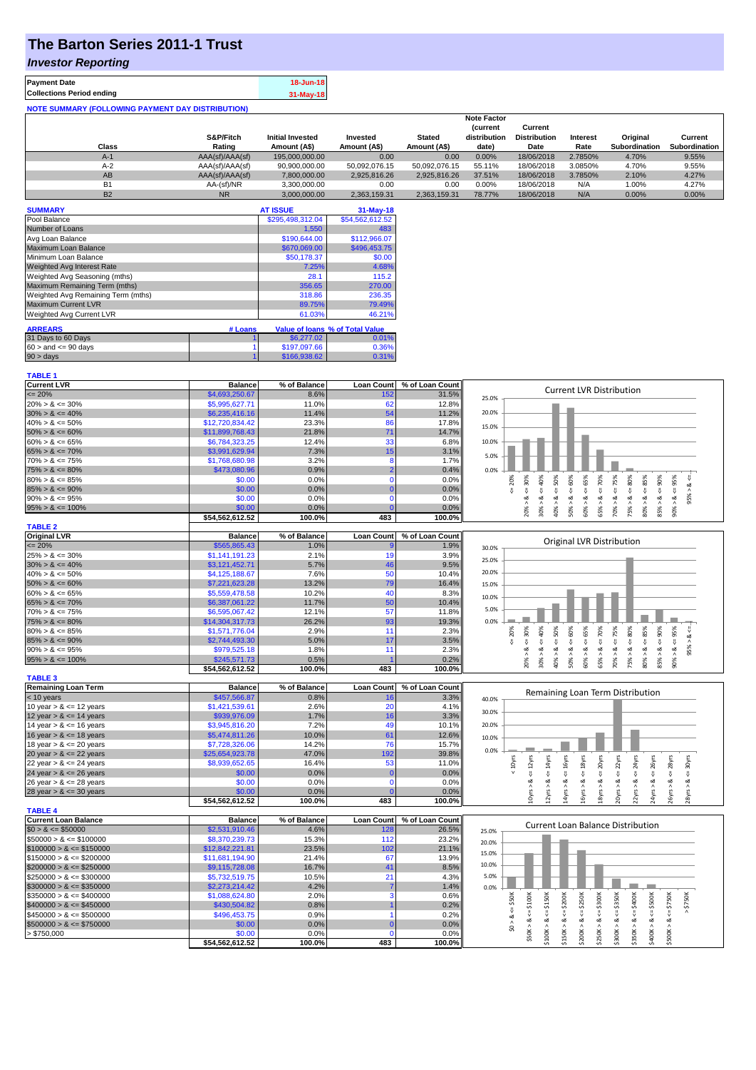# **The Barton Series 2011-1 Trust**

### *Investor Reporting*

| <b>Payment Date</b>                                      | 18-Jun-18   |
|----------------------------------------------------------|-------------|
| <b>Collections Period ending</b>                         | $31-May-18$ |
| <b>NOTE SUMMARY (FOLLOWING PAYMENT DAY DISTRIBUTION)</b> |             |

|           |                 |                         |               |               | <b>Note Factor</b> |                     |                 |               |               |
|-----------|-----------------|-------------------------|---------------|---------------|--------------------|---------------------|-----------------|---------------|---------------|
|           |                 |                         |               |               | <b>Current</b>     | Current             |                 |               |               |
|           | S&P/Fitch       | <b>Initial Invested</b> | Invested      | <b>Stated</b> | distribution       | <b>Distribution</b> | <b>Interest</b> | Original      | Current       |
| Class     | Rating          | Amount (A\$)            | Amount (A\$)  | Amount (A\$)  | date)              | Date                | Rate            | Subordination | Subordination |
| $A-1$     | AAA(sf)/AAA(sf) | 195,000,000,00          | 0.00          | 0.00          | 0.00%              | 18/06/2018          | 2.7850%         | 4.70%         | 9.55%         |
| $A-2$     | AAA(sf)/AAA(sf) | 90,900,000.00           | 50.092.076.15 | 50.092.076.15 | 55.11%             | 18/06/2018          | 3.0850%         | 4.70%         | 9.55%         |
| AB        | AAA(sf)/AAA(sf) | 7,800,000.00            | 2.925.816.26  | 2.925.816.26  | 37.51%             | 18/06/2018          | 3.7850%         | 2.10%         | 4.27%         |
| B1        | AA-(sf)/NR      | 3.300.000.00            | 0.00          | 0.00          | 0.00%              | 18/06/2018          | N/A             | 1.00%         | 4.27%         |
| <b>B2</b> | N <sub>R</sub>  | 3.000.000.00            | 2.363.159.31  | 2.363.159.31  | 78.77%             | 18/06/2018          | N/A             | $0.00\%$      | 0.00%         |

| <b>SUMMARY</b>                     |         | <b>AT ISSUE</b>  | $31-May-18$                     |
|------------------------------------|---------|------------------|---------------------------------|
| Pool Balance                       |         | \$295,498,312.04 | \$54,562,612.52                 |
| Number of Loans                    |         | 1,550            | 483                             |
| Avg Loan Balance                   |         | \$190,644.00     | \$112,966.07                    |
| Maximum Loan Balance               |         | \$670,069.00     | \$496,453.75                    |
| Minimum Loan Balance               |         | \$50,178.37      | \$0.00                          |
| Weighted Avg Interest Rate         |         | 7.25%            | 4.68%                           |
| Weighted Avg Seasoning (mths)      |         | 28.1             | 115.2                           |
| Maximum Remaining Term (mths)      |         | 356.65           | 270.00                          |
| Weighted Avg Remaining Term (mths) |         | 318.86           | 236.35                          |
| <b>Maximum Current LVR</b>         |         | 89.75%           | 79.49%                          |
| Weighted Avg Current LVR           |         | 61.03%           | 46.21%                          |
| <b>ARREARS</b>                     | # Loans |                  | Value of Ioans % of Total Value |
| 31 Days to 60 Days                 |         | \$6,277.02       | 0.01%                           |
| $60 >$ and $\leq 90$ days          |         | \$197,097.66     | 0.36%                           |
| $90 > \text{days}$                 |         | \$166.938.62     | 0.31%                           |

| <b>TABLE 1</b>              |                 |              |                   |                 |                                                                                                                                                                                                                                         |
|-----------------------------|-----------------|--------------|-------------------|-----------------|-----------------------------------------------------------------------------------------------------------------------------------------------------------------------------------------------------------------------------------------|
| <b>Current LVR</b>          | <b>Balance</b>  | % of Balance | <b>Loan Count</b> | % of Loan Count |                                                                                                                                                                                                                                         |
| $\leq$ 20%                  | \$4,693,250.67  | 8.6%         | 152               | 31.5%           | <b>Current LVR Distribution</b><br>25.0%                                                                                                                                                                                                |
| $20\% > 8 \le 30\%$         | \$5,995,627.71  | 11.0%        | 62                | 12.8%           |                                                                                                                                                                                                                                         |
| $30\% > 8 \le 40\%$         | \$6,235,416.16  | 11.4%        | 54                | 11.2%           | 20.0%                                                                                                                                                                                                                                   |
| $40\% > 8 \le 50\%$         | \$12,720,834.42 | 23.3%        | 86                | 17.8%           |                                                                                                                                                                                                                                         |
| $50\% > 8 \le 60\%$         | \$11,899,768.43 | 21.8%        | 71                | 14.7%           | 15.0%                                                                                                                                                                                                                                   |
| $60\% > 8 \le 65\%$         | \$6,784,323.25  | 12.4%        | 33                | 6.8%            | 10.0%                                                                                                                                                                                                                                   |
| $65\% > 8 \le 70\%$         | \$3,991,629.94  | 7.3%         | 15                | 3.1%            |                                                                                                                                                                                                                                         |
| $70\% > 8 \le 75\%$         | \$1,768,680.98  | 3.2%         | 8                 | 1.7%            | 5.0%                                                                                                                                                                                                                                    |
| $75\% > 8 \le 80\%$         | \$473,080.96    | 0.9%         | $\overline{2}$    | 0.4%            | 0.0%                                                                                                                                                                                                                                    |
| $80\% > 8 \le 85\%$         | \$0.00          | 0.0%         | $\mathbf 0$       | 0.0%            | $4 = 75\%$<br>20%                                                                                                                                                                                                                       |
| $85\% > 8 \le 90\%$         | \$0.00          | 0.0%         | $\Omega$          | 0.0%            | $8 - 70%$<br>$8x = 30%$<br>$\leq 80\%$<br>$<=95\%$<br>$\frac{8}{2}$<br>IJ,                                                                                                                                                              |
| $90\% > 8 \le 95\%$         | \$0.00          | 0.0%         | $\mathbf 0$       | 0.0%            | 95%                                                                                                                                                                                                                                     |
| $95\% > 8 \le 100\%$        | \$0.00          | 0.0%         |                   | 0.0%            | $30\% > 8 <= 40\%$<br>$50\% > 8 <= 60\%$<br>$80\% > 8 <= 85\%$<br>$40\% > 8 <= 50\%$<br>$60\% > 8 \leq 65\%$<br>$85% > 8 <= 90%$<br>70% > 8.<br>75% > 8<br>20% > 1<br>65% > i<br>90% > 8                                                |
|                             | \$54,562,612.52 | 100.0%       | 483               | 100.0%          |                                                                                                                                                                                                                                         |
| <b>TABLE 2</b>              |                 |              |                   |                 |                                                                                                                                                                                                                                         |
| <b>Original LVR</b>         | <b>Balance</b>  | % of Balance | <b>Loan Count</b> | % of Loan Count |                                                                                                                                                                                                                                         |
| $\leq$ 20%                  | \$565,865.43    | 1.0%         |                   | 1.9%            | Original LVR Distribution<br>30.0%                                                                                                                                                                                                      |
| $25\% > 8 \le 30\%$         | \$1,141,191.23  | 2.1%         | 19                | 3.9%            |                                                                                                                                                                                                                                         |
| $30\% > 8 \le 40\%$         | \$3,121,452.71  | 5.7%         | 46                | 9.5%            | 25.0%                                                                                                                                                                                                                                   |
| $40\% > 8 \le 50\%$         | \$4,125,188.67  | 7.6%         | 50                | 10.4%           | 20.0%                                                                                                                                                                                                                                   |
| $50\% > 8 \le 60\%$         | \$7,221,623.28  | 13.2%        | 79                | 16.4%           | 15.0%                                                                                                                                                                                                                                   |
| $60\% > 8 \le 65\%$         | \$5,559,478.58  | 10.2%        | 40                | 8.3%            |                                                                                                                                                                                                                                         |
| $65\% > 8 \le 70\%$         | \$6,387,061.22  | 11.7%        | 50                | 10.4%           | 10.0%                                                                                                                                                                                                                                   |
| $70\% > 8 \le 75\%$         | \$6,595,067.42  | 12.1%        | 57                | 11.8%           | 5.0%                                                                                                                                                                                                                                    |
| $75\% > 8 \le 80\%$         | \$14,304,317.73 | 26.2%        | 93                | 19.3%           | 0.0%                                                                                                                                                                                                                                    |
| $80\% > 8 \le 85\%$         | \$1,571,776.04  | 2.9%         | 11                | 2.3%            | 50%<br>30%<br>65%<br>70%<br>95%<br>8 < 1<br>20%                                                                                                                                                                                         |
| $85\% > 8 \le 90\%$         | \$2,744,493.30  | 5.0%         | 17                | 3.5%            | $& \Leftarrow 85\%$<br>$4 = 60\%$<br>$4 = 75\%$<br>$480\%$<br>$4 = 90\%$<br>$\leq 40\%$<br>₩<br>₩<br>₩<br>₩<br>₩                                                                                                                        |
| $90\% > 8 \le 95\%$         | \$979,525.18    | 1.8%         | 11                | 2.3%            | 95% ><br>ಷ<br>∞<br>ಷ<br>œ<br>ಷ<br>ø<br>ಷ<br>ø<br>∞<br>ವ                                                                                                                                                                                 |
| $95\% > 8 \le 100\%$        | \$245,571.73    | 0.5%         |                   | 0.2%            | 20% ><br>30% ><br>40% ><br>65% ><br>70% ><br>75% ><br>$80\%$ $>$<br>85% ><br>50% ><br>60% ><br>$90\%$                                                                                                                                   |
|                             | \$54,562,612.52 | 100.0%       | 483               | 100.0%          |                                                                                                                                                                                                                                         |
| <b>TABLE 3</b>              |                 |              |                   |                 |                                                                                                                                                                                                                                         |
| <b>Remaining Loan Term</b>  | <b>Balance</b>  | % of Balance | <b>Loan Count</b> | % of Loan Count |                                                                                                                                                                                                                                         |
| $<$ 10 years                | \$457,566.87    | 0.8%         | 16                | 3.3%            | Remaining Loan Term Distribution<br>40.0%                                                                                                                                                                                               |
| 10 year $> 8 \le 12$ years  | \$1,421,539.61  | 2.6%         | 20                | 4.1%            |                                                                                                                                                                                                                                         |
| 12 year $> 8 \le 14$ years  | \$939,976.09    | 1.7%         | 16                | 3.3%            | 30.0%                                                                                                                                                                                                                                   |
| 14 year $> 8 \le 16$ years  | \$3,945,816.20  | 7.2%         | 49                | 10.1%           | 20.0%                                                                                                                                                                                                                                   |
| 16 year $> 8 \le 18$ years  | \$5,474,811.26  | 10.0%        | 61                | 12.6%           | 10.0%                                                                                                                                                                                                                                   |
| 18 year $> 8 \le 20$ years  | \$7,728,326.06  | 14.2%        | 76                | 15.7%           |                                                                                                                                                                                                                                         |
| 20 year $> 8 \le 22$ years  | \$25,654,923.78 | 47.0%        | 192               | 39.8%           | 0.0%                                                                                                                                                                                                                                    |
| 22 year $> 8 \le 24$ years  | \$8,939,652.65  | 16.4%        | 53                | 11.0%           | 30yrs<br>< 10yrs                                                                                                                                                                                                                        |
| 24 year $> 8 \le 26$ years  | \$0.00          | 0.0%         |                   | 0.0%            | $\leq$ 24yrs<br>$4 = 16yrs$<br>$\leq$ 20yrs<br>$\epsilon$ = 22 $\gamma$ rs<br>$\leq$ 26yrs<br>$\leq 18$ yrs<br>$\leq$ 28 $\gamma$ rs<br>$\leq 12$ yrs<br>$\leq$ 14yrs<br>₩                                                              |
| 26 year $> 8 \le 28$ years  | \$0.00          | 0.0%         | $\mathbf{0}$      | 0.0%            | ಷ<br>ಷ<br>ಷ<br>ಷ<br>oð.<br>త<br>త<br>ಷ<br>∞                                                                                                                                                                                             |
| 28 year $> 8 \le 30$ years  | \$0.00          | 0.0%         |                   | 0.0%            | 24yrs > 8<br>16yrs > 8<br>20yrs ><br>22yrs ><br>26yrs > 8<br>10yrs ><br>14yrs<br>18yrs<br>28yrs<br>12yrs >                                                                                                                              |
|                             | \$54,562,612.52 | 100.0%       | 483               | 100.0%          |                                                                                                                                                                                                                                         |
| <b>TABLE 4</b>              |                 |              |                   |                 |                                                                                                                                                                                                                                         |
| <b>Current Loan Balance</b> | <b>Balance</b>  | % of Balance | <b>Loan Count</b> | % of Loan Count | <b>Current Loan Balance Distribution</b>                                                                                                                                                                                                |
| $$0 > 8 \le $50000$         | \$2,531,910.46  | 4.6%         | 128               | 26.5%           | 25.0%                                                                                                                                                                                                                                   |
| $$50000 > 8 \le $100000$    | \$8,370,239.73  | 15.3%        | 112               | 23.2%           | 20.0%                                                                                                                                                                                                                                   |
| $$100000 > 8 \leq $150000$  | \$12,842,221.81 | 23.5%        | 102               | 21.1%           |                                                                                                                                                                                                                                         |
| $$150000 > 8 \leq $200000$  | \$11,681,194.90 | 21.4%        | 67                | 13.9%           | 15.0%                                                                                                                                                                                                                                   |
| $$200000 > 8 \leq $250000$  | \$9,115,728.08  | 16.7%        | 41                | 8.5%            | 10.0%                                                                                                                                                                                                                                   |
| $$250000 > 8 \leq $300000$  | \$5,732,519.75  | 10.5%        | 21                | 4.3%            | 5.0%                                                                                                                                                                                                                                    |
| $$300000 > 8 \leq $350000$  | \$2,273,214.42  | 4.2%         |                   | 1.4%            | 0.0%                                                                                                                                                                                                                                    |
| $$350000 > 8 \leq $400000$  | \$1,088,624.80  | 2.0%         | 3                 | 0.6%            |                                                                                                                                                                                                                                         |
| $$400000 > 8 \leq $450000$  | \$430,504.82    | 0.8%         |                   | 0.2%            | $>$ \$750K                                                                                                                                                                                                                              |
| $$450000 > 8 \le $500000$   | \$496,453.75    | 0.9%         |                   | 0.2%            | $$50K > 8 <= $100K$<br>$$150K > <= $200K$$<br>$$250K > 8 <= $300K$$<br>$$300K > 8 <= $350K$<br>$$350K > 8 <= $400K$<br>$$400K > 8 <= $500K$<br>$$0 > 8 <= $50$<br>$$100K > 8 <= $150K$<br>$$200K > 8 <= $250K$$<br>$$500K > 8 <= $750K$ |
| $$500000 > 8 \leq $750000$  | \$0.00          | 0.0%         |                   | 0.0%            |                                                                                                                                                                                                                                         |
| > \$750,000                 | \$0.00          | 0.0%         | $\Omega$          | 0.0%            |                                                                                                                                                                                                                                         |
|                             | \$54,562,612.52 | 100.0%       | 483               | 100.0%          |                                                                                                                                                                                                                                         |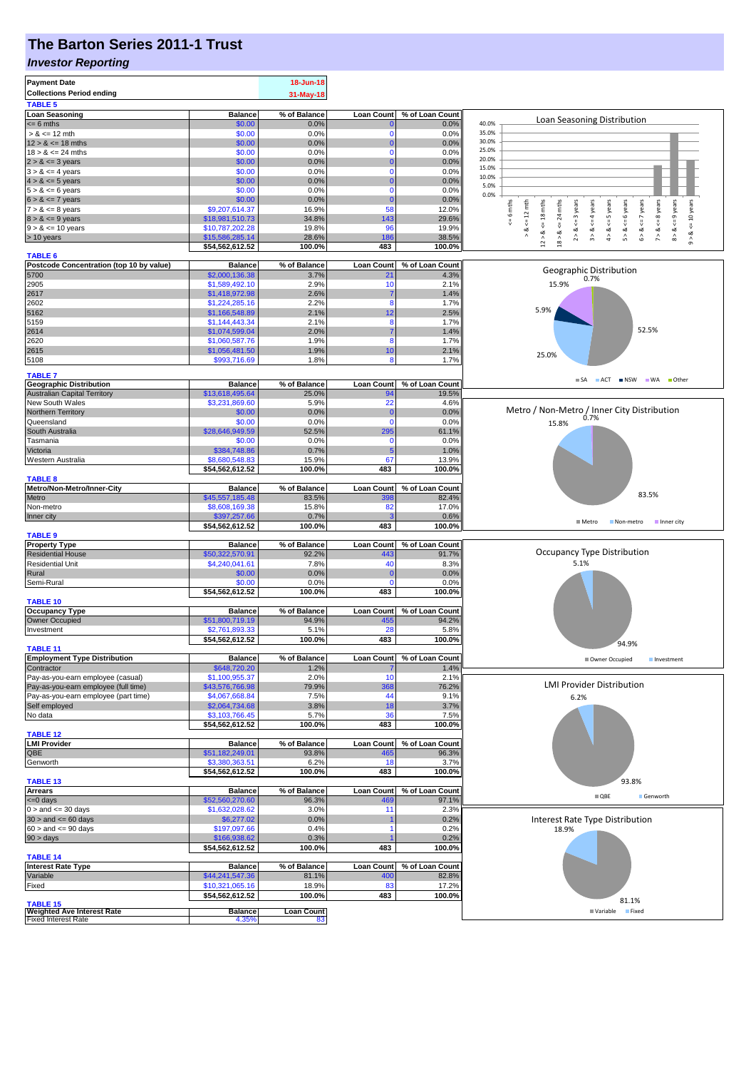## **The Barton Series 2011-1 Trust**

#### *Investor Reporting*

| <b>Payment Date</b><br><b>Collections Period ending</b><br><b>TABLE 5</b> |                                    | 18-Jun-18<br>31-May-18 |                          |                          |                                                                                                                                   |
|---------------------------------------------------------------------------|------------------------------------|------------------------|--------------------------|--------------------------|-----------------------------------------------------------------------------------------------------------------------------------|
| <b>Loan Seasoning</b>                                                     | <b>Balance</b>                     | % of Balance           | <b>Loan Count</b>        | % of Loan Count          |                                                                                                                                   |
| $= 6$ mths                                                                | \$0.00                             | 0.0%                   |                          | 0.0%                     | Loan Seasoning Distribution<br>40.0%                                                                                              |
| $> 8 \le 12$ mth                                                          | \$0.00                             | 0.0%                   | $\Omega$                 | 0.0%                     | 35.0%                                                                                                                             |
| $12 > 8 \le 18$ mths                                                      | \$0.00                             | 0.0%                   | 0                        | 0.0%                     | 30.0%<br>25.0%                                                                                                                    |
| $18 > 8 \le 24$ mths<br>$2 > 8 \le 3$ years                               | \$0.00<br>\$0.00                   | 0.0%<br>0.0%           | O                        | 0.0%<br>0.0%             | 20.0%                                                                                                                             |
| $3 > 8 \le 4$ years                                                       | \$0.00                             | 0.0%                   | $\Omega$                 | 0.0%                     | 15.0%                                                                                                                             |
| $4 > 8 \le 5$ years                                                       | \$0.00                             | 0.0%                   |                          | 0.0%                     | 10.0%                                                                                                                             |
| $5 > 8 \le 6$ years                                                       | \$0.00                             | 0.0%                   | $\Omega$                 | 0.0%                     | 5.0%                                                                                                                              |
| $6 > 8 \le 7$ years                                                       | \$0.00                             | 0.0%                   | $\Omega$                 | 0.0%                     | 0.0%                                                                                                                              |
| $7 > 8 \le 8$ years                                                       | \$9,207,614.37                     | 16.9%                  | 58                       | 12.0%                    | $5 = 6$ mths<br>24 mths<br>$\leq$ 8 years<br>10 years<br>$\leq 12$ mth<br>$\leq$ = 3 years<br>$\leq$ = 4 years<br>$\le$ = 6 years |
| $8 > 8 \le 9$ years                                                       | \$18,981,510.73                    | 34.8%                  | 143                      | 29.6%                    | $8 > 8 < = 9$ years<br>$12 > 8$ <= 18 mths<br>$4 > 8 \leq 5$ years<br>$6 > 8 < z < 7$ years<br>$\overline{\mathsf{v}}$<br>V       |
| $9 > 8 \le 10$ years                                                      | \$10,787,202.28<br>\$15,586,285.14 | 19.8%<br>28.6%         | 96<br>186                | 19.9%<br>38.5%           | 2 > 8<br>∞<br>ಷ<br>5 > 8<br>7 > 8<br>18 > 8.<br>œ<br>$\wedge$<br>$\hat{\hat{}}$                                                   |
| > 10 years                                                                | \$54,562,612.52                    | 100.0%                 | 483                      | 100.0%                   | $\hat{9}$                                                                                                                         |
| <b>TABLE 6</b>                                                            |                                    |                        |                          |                          |                                                                                                                                   |
| Postcode Concentration (top 10 by value)                                  | <b>Balance</b>                     | % of Balance           | <b>Loan Count</b>        | % of Loan Count          | Geographic Distribution                                                                                                           |
| 5700                                                                      | \$2,000,136.38                     | 3.7%                   | 21                       | 4.3%                     | 0.7%                                                                                                                              |
| 2905                                                                      | \$1,589,492.10                     | 2.9%                   | 10                       | 2.1%                     | 15.9%                                                                                                                             |
| 2617<br>2602                                                              | \$1,418,972.98<br>\$1,224,285.16   | 2.6%<br>2.2%           | 8                        | 1.4%<br>1.7%             |                                                                                                                                   |
| 5162                                                                      | \$1,166,548.89                     | 2.1%                   | 12                       | 2.5%                     | 5.9%                                                                                                                              |
| 5159                                                                      | \$1,144,443.34                     | 2.1%                   | 8                        | 1.7%                     |                                                                                                                                   |
| 2614                                                                      | \$1,074,599.04                     | 2.0%                   |                          | 1.4%                     | 52.5%                                                                                                                             |
| 2620                                                                      | \$1,060,587.76                     | 1.9%                   | 8                        | 1.7%                     |                                                                                                                                   |
| 2615                                                                      | \$1,056,481.50                     | 1.9%                   | 10                       | 2.1%                     | 25.0%                                                                                                                             |
| 5108                                                                      | \$993,716.69                       | 1.8%                   | 8                        | 1.7%                     |                                                                                                                                   |
| <b>TABLE 7</b>                                                            |                                    |                        |                          |                          | SA ACT INSW WA Other                                                                                                              |
| <b>Geographic Distribution</b>                                            | <b>Balance</b>                     | % of Balance           | Loan Count               | % of Loan Count          |                                                                                                                                   |
| <b>Australian Capital Territory</b>                                       | \$13,618,495.64                    | 25.0%                  | 94                       | 19.5%                    |                                                                                                                                   |
| New South Wales                                                           | \$3,231,869.60                     | 5.9%                   | 22                       | 4.6%                     | Metro / Non-Metro / Inner City Distribution                                                                                       |
| Northern Territory<br>Queensland                                          | \$0.00<br>\$0.00                   | 0.0%<br>0.0%           | C<br>$\mathbf 0$         | 0.0%<br>0.0%             |                                                                                                                                   |
| South Australia                                                           | \$28,646,949.59                    | 52.5%                  | 295                      | 61.1%                    | 15.8%                                                                                                                             |
| Tasmania                                                                  | \$0.00                             | 0.0%                   | 0                        | 0.0%                     |                                                                                                                                   |
| Victoria                                                                  | \$384,748.86                       | 0.7%                   | 5                        | 1.0%                     |                                                                                                                                   |
| Western Australia                                                         | \$8,680,548.83                     | 15.9%                  | 67                       | 13.9%                    |                                                                                                                                   |
|                                                                           | \$54,562,612.52                    | 100.0%                 | 483                      | 100.0%                   |                                                                                                                                   |
| <b>TABLE 8</b>                                                            |                                    |                        |                          |                          |                                                                                                                                   |
| Metro/Non-Metro/Inner-City                                                | <b>Balance</b>                     | % of Balance           | <b>Loan Count</b>        | % of Loan Count          | 83.5%                                                                                                                             |
| Metro<br>Non-metro                                                        | \$45,557,185.48<br>\$8,608,169.38  | 83.5%<br>15.8%         | 398<br>82                | 82.4%<br>17.0%           |                                                                                                                                   |
| Inner city                                                                | \$397,257.66                       | 0.7%                   |                          | 0.6%                     |                                                                                                                                   |
|                                                                           | \$54,562,612.52                    | 100.0%                 | 483                      | 100.0%                   | ■ Metro<br>Non-metro Inner city                                                                                                   |
| <b>TABLE 9</b>                                                            |                                    |                        |                          |                          |                                                                                                                                   |
| <b>Property Type</b>                                                      | <b>Balance</b>                     | % of Balance           | <b>Loan Count</b>        | % of Loan Count          | Occupancy Type Distribution                                                                                                       |
| <b>Residential House</b>                                                  | \$50,322,570.91                    | 92.2%                  | 443                      | 91.7%                    | 5.1%                                                                                                                              |
| <b>Residential Unit</b><br>Rural                                          | \$4,240,041.61<br>\$0.00           | 7.8%<br>0.0%           | 40<br>0                  | 8.3%<br>0.0%             |                                                                                                                                   |
| Semi-Rural                                                                | \$0.00                             | 0.0%                   | $\Omega$                 | 0.0%                     |                                                                                                                                   |
|                                                                           | \$54,562,612.52                    | 100.0%                 | 483                      | 100.0%                   |                                                                                                                                   |
| <b>TABLE 10</b>                                                           |                                    |                        |                          |                          |                                                                                                                                   |
| <b>Occupancy Type</b><br>Owner Occupied                                   | <b>Balance</b><br>\$51,800,719.19  | % of Balance<br>94.9%  | <b>Loan Count</b><br>455 | % of Loan Count<br>94.2% |                                                                                                                                   |
| Investment                                                                | \$2,761,893.33                     | 5.1%                   | 28                       | 5.8%                     |                                                                                                                                   |
|                                                                           | \$54,562,612.52                    | 100.0%                 | 483                      | 100.0%                   |                                                                                                                                   |
| <b>TABLE 11</b>                                                           |                                    |                        |                          |                          | 94.9%                                                                                                                             |
| <b>Employment Type Distribution</b>                                       | <b>Balance</b>                     | % of Balance           | Loan Count               | % of Loan Count          | Owner Occupied<br>Investment                                                                                                      |
| Contractor                                                                | \$648,720.20                       | 1.2%                   |                          | 1.4%                     |                                                                                                                                   |
| Pay-as-you-earn employee (casual)<br>Pay-as-you-earn employee (full time) | \$1,100,955.37<br>\$43,576,766.98  | 2.0%<br>79.9%          | 10<br>368                | 2.1%<br>76.2%            | <b>LMI Provider Distribution</b>                                                                                                  |
| Pay-as-you-earn employee (part time)                                      | \$4,067,668.84                     | 7.5%                   | 44                       | 9.1%                     | 6.2%                                                                                                                              |
| Self employed                                                             | \$2,064,734.68                     | 3.8%                   | 18                       | 3.7%                     |                                                                                                                                   |
| No data                                                                   | \$3,103,766.45                     | 5.7%                   | 36                       | 7.5%                     |                                                                                                                                   |
|                                                                           | \$54,562,612.52                    | 100.0%                 | 483                      | 100.0%                   |                                                                                                                                   |
| <b>TABLE 12</b>                                                           |                                    |                        |                          |                          |                                                                                                                                   |
| <b>LMI Provider</b><br>QBE                                                | <b>Balance</b>                     | % of Balance           | <b>Loan Count</b>        | % of Loan Count          |                                                                                                                                   |
| Genworth                                                                  | \$51,182,249.01<br>\$3,380,363.51  | 93.8%<br>6.2%          | 465<br>18                | 96.3%<br>3.7%            |                                                                                                                                   |
|                                                                           | \$54,562,612.52                    | 100.0%                 | 483                      | 100.0%                   |                                                                                                                                   |
| <b>TABLE 13</b>                                                           |                                    |                        |                          |                          | 93.8%                                                                                                                             |
| <b>Arrears</b>                                                            | <b>Balance</b>                     | % of Balance           | <b>Loan Count</b>        | % of Loan Count          | $\blacksquare$ QBE<br>Genworth                                                                                                    |
| $\leq 0$ days                                                             | \$52,560,270.60                    | 96.3%                  | 469                      | 97.1%                    |                                                                                                                                   |
| $0 >$ and $\leq$ 30 days                                                  | \$1,632,028.62                     | 3.0%                   | 11                       | 2.3%                     |                                                                                                                                   |
| $30 >$ and $\leq 60$ days                                                 | \$6,277.02                         | 0.0%<br>0.4%           |                          | 0.2%                     | Interest Rate Type Distribution                                                                                                   |
| $60 >$ and $\leq 90$ days<br>$90 > \text{days}$                           | \$197,097.66<br>\$166,938.62       | 0.3%                   |                          | 0.2%<br>0.2%             | 18.9%                                                                                                                             |
|                                                                           | \$54,562,612.52                    | 100.0%                 | 483                      | 100.0%                   |                                                                                                                                   |
| <b>TABLE 14</b>                                                           |                                    |                        |                          |                          |                                                                                                                                   |
| <b>Interest Rate Type</b>                                                 | <b>Balance</b>                     | % of Balance           | <b>Loan Count</b>        | % of Loan Count          |                                                                                                                                   |
| Variable                                                                  | \$44,241,547.36                    | 81.1%                  | 400                      | 82.8%                    |                                                                                                                                   |
| Fixed                                                                     | \$10,321,065.16                    | 18.9%                  | 83                       | 17.2%                    |                                                                                                                                   |
| <b>TABLE 15</b>                                                           | \$54,562,612.52                    | 100.0%                 | 483                      | 100.0%                   | 81.1%                                                                                                                             |
| <b>Weighted Ave Interest Rate</b>                                         | <b>Balance</b>                     | <b>Loan Count</b>      |                          |                          | Variable Fixed                                                                                                                    |
| <b>Fixed Interest Rate</b>                                                | 4.35%                              | 83                     |                          |                          |                                                                                                                                   |